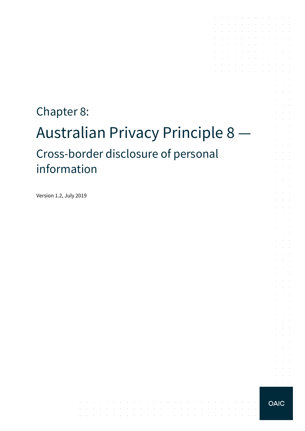# Chapter 8: Australian Privacy Principle 8 — Cross-border disclosure of personal information

 $\mathcal{A}$  is a set of the set of the set of  $\mathcal{A}$  , and  $\mathcal{A}$ 

والمتواطن والمتواطن والمتواطن والمتواطن والمتواطن والمتواطن والمتواطن والمتواطن والمتواطن

the contract of the contract of the contract of

Version 1.2, July 2019

**OAIC** 

 $\alpha = \alpha + \beta$ 

and a series of the contract of the contract of

the contract of the contract of the contract of

the control of the con-

the control of the control of the contract of the contract of the  $\mathcal{A}$  . The contribution of the contribution of  $\mathcal{A}$   $\sim$ 

 $\sim$ 

÷.  $\mathcal{L}^{\text{max}}$ 

 $\sim$  $\sim 10^{-10}$  km  $\mathcal{A}^{\mathcal{A}}$  and  $\mathcal{A}^{\mathcal{A}}$ 

 $\mathcal{L}$ **Contractor Contract** 

 $\mathcal{L}^{\text{max}}$  $\sim 10^{-11}$  .

 $\mathcal{L}^{\text{max}}$  $\alpha$  and  $\alpha$  $\mathcal{L}^{\text{max}}$ 

 $\mathcal{L}^{\text{max}}$ and a state

> $\alpha$  and  $\alpha$  $\sim 10^{-11}$  .

 $\alpha$  ,  $\beta$  ,  $\alpha$ and a state

 $\mathcal{L}^{\text{max}}$ 

 $\sim 10^{-10}$  km

 $\sim$ 

 $\mathcal{L}^{\mathcal{A}}$  . The contribution of the contribution of the contribution of  $\mathcal{L}^{\mathcal{A}}$ 

 $\mathcal{L}^{\mathcal{A}}$  . The contribution of the contribution of  $\mathcal{L}^{\mathcal{A}}$ and the company of the company

 $\sim$ 

 $\sim$ 

 $\sim$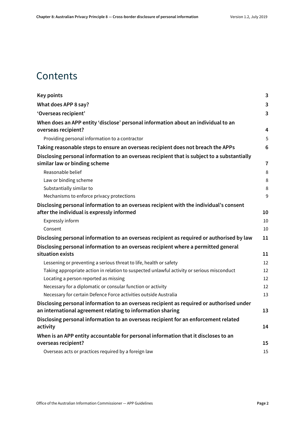### **Contents**

| <b>Key points</b>                                                                                                                                      | $\mathbf{3}$   |
|--------------------------------------------------------------------------------------------------------------------------------------------------------|----------------|
| What does APP 8 say?                                                                                                                                   | 3              |
| 'Overseas recipient'                                                                                                                                   | $\overline{3}$ |
| When does an APP entity 'disclose' personal information about an individual to an                                                                      |                |
| overseas recipient?                                                                                                                                    | 4              |
| Providing personal information to a contractor                                                                                                         | 5              |
| Taking reasonable steps to ensure an overseas recipient does not breach the APPs                                                                       | 6              |
| Disclosing personal information to an overseas recipient that is subject to a substantially<br>similar law or binding scheme                           | $\overline{7}$ |
| Reasonable belief                                                                                                                                      | 8              |
| Law or binding scheme                                                                                                                                  | 8              |
| Substantially similar to                                                                                                                               | 8              |
| Mechanisms to enforce privacy protections                                                                                                              | 9              |
| Disclosing personal information to an overseas recipient with the individual's consent                                                                 |                |
| after the individual is expressly informed                                                                                                             | 10             |
| Expressly inform                                                                                                                                       | 10             |
| Consent                                                                                                                                                | 10             |
| Disclosing personal information to an overseas recipient as required or authorised by law                                                              | 11             |
| Disclosing personal information to an overseas recipient where a permitted general<br>situation exists                                                 | 11             |
| Lessening or preventing a serious threat to life, health or safety                                                                                     | 12             |
| Taking appropriate action in relation to suspected unlawful activity or serious misconduct                                                             | 12             |
| Locating a person reported as missing                                                                                                                  | 12             |
| Necessary for a diplomatic or consular function or activity                                                                                            | 12             |
| Necessary for certain Defence Force activities outside Australia                                                                                       | 13             |
| Disclosing personal information to an overseas recipient as required or authorised under<br>an international agreement relating to information sharing | 13             |
| Disclosing personal information to an overseas recipient for an enforcement related                                                                    |                |
| activity                                                                                                                                               | 14             |
| When is an APP entity accountable for personal information that it discloses to an                                                                     |                |
| overseas recipient?                                                                                                                                    | 15             |
| Overseas acts or practices required by a foreign law                                                                                                   | 15             |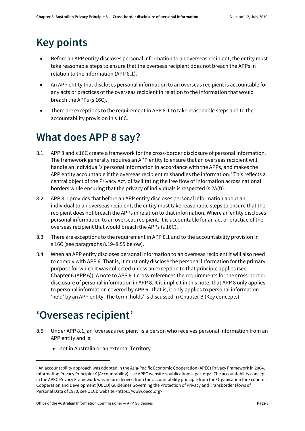# <span id="page-2-0"></span>**Key points**

- Before an APP entity discloses personal information to an overseas recipient, the entity must take reasonable steps to ensure that the overseas recipient does not breach the APPs in relation to the information (APP 8.1).
- An APP entity that discloses personal information to an overseas recipient is accountable for any acts or practices of the overseas recipient in relation to the information that would breach the APPs (s 16C).
- There are exceptions to the requirement in APP 8.1 to take reasonable steps and to the accountability provision in s 16C.

# <span id="page-2-1"></span>**What does APP 8 say?**

- 8.1 APP 8 and s 16C create a framework for the cross-border disclosure of personal information. The framework generally requires an APP entity to ensure that an overseas recipient will handle an individual's personal information in accordance with the APPs, and makes the APP entity accountable if the overseas recipient mishandles the information.<sup>[1](#page-2-3)</sup> This reflects a central object of the Privacy Act, of facilitating the free flow of information across national borders while ensuring that the privacy of individuals is respected (s 2A(f)).
- 8.2 APP 8.1 provides that before an APP entity discloses personal information about an individual to an overseas recipient, the entity must take reasonable steps to ensure that the recipient does not breach the APPs in relation to that information. Where an entity discloses personal information to an overseas recipient, it is accountable for an act or practice of the overseas recipient that would breach the APPs (s 16C).
- 8.3 There are exceptions to the requirement in APP 8.1 and to the accountability provision in s 16C (see paragraph[s 8.19–](#page-6-1)[8.55](#page-13-1) below).
- 8.4 When an APP entity discloses personal information to an overseas recipient it will also need to comply with APP 6. That is, it must only disclose the personal information for the primary purpose for which it was collected unless an exception to that principle applies (see Chapter 6 (APP 6)). A note to APP 6.1 cross-references the requirements for the cross-border disclosure of personal information in APP 8. It is implicit in this note, that APP 8 only applies to personal information covered by APP 6. That is, it only applies to personal information 'held' by an APP entity. The term 'holds' is discussed in Chapter B (Key concepts).

# <span id="page-2-2"></span>**'Overseas recipient'**

 $\overline{a}$ 

- 8.5 Under APP 8.1, an 'overseas recipient' is a person who receives personal information from an APP entity and is:
	- not in Australia or an external Territory

<span id="page-2-3"></span><sup>&</sup>lt;sup>1</sup> An accountability approach was adopted in the Asia-Pacific Economic Cooperation (APEC) Privacy Framework in 2004, Information Privacy Principle IX (Accountability), see APEC website <publications.apec.org>. The accountability concept in the APEC Privacy Framework was in turn derived from the accountability principle from the Organisation for Economic Cooperation and Development (OECD) Guidelines Governing the Protection of Privacy and Transborder Flows of Personal Data of 1980, see OECD website <https://www.oecd.org>.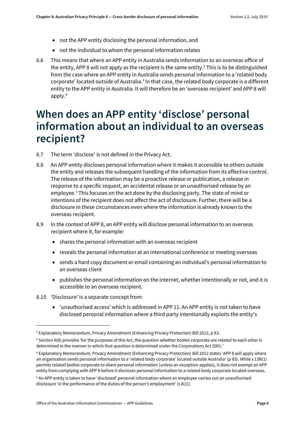- not the APP entity disclosing the personal information, and
- not the individual to whom the personal information relates
- 8.6 This means that where an APP entity in Australia sends information to an overseas office of the entity, APP 8 will not apply as the recipient is the same entity.<sup>2</sup> This is to be distinguished from the case where an APP entity in Australia sends personal information to a 'related body corporate' located outside of Australia.<sup>3</sup> In that case, the related body corporate is a different entity to the APP entity in Australia. It will therefore be an 'overseas recipient' and APP 8 will apply.[4](#page-3-3)

# <span id="page-3-0"></span>**When does an APP entity 'disclose' personal information about an individual to an overseas recipient?**

- 8.7 The term 'disclose' is not defined in the Privacy Act.
- 8.8 An APP entity discloses personal information where it makes it accessible to others outside the entity and releases the subsequent handling of the information from its effective control. The release of the information may be a proactive release or publication, a release in response to a specific request, an accidental release or an unauthorised release by an employee.<sup>[5](#page-3-4)</sup> This focuses on the act done by the disclosing party. The state of mind or intentions of the recipient does not affect the act of disclosure. Further, there will be a disclosure in these circumstances even where the information is already known to the overseas recipient.
- 8.9 In the context of APP 8, an APP entity will disclose personal information to an overseas recipient where it, for example:
	- shares the personal information with an overseas recipient
	- reveals the personal information at an international conference or meeting overseas
	- sends a hard copy document or email containing an individual's personal information to an overseas client
	- publishes the personal information on the internet, whether intentionally or not, and it is accessible to an overseas recipient.
- 8.10 'Disclosure' is a separate concept from:

**.** 

• 'unauthorised access' which is addressed in APP 11. An APP entity is not taken to have disclosed personal information where a third party intentionally exploits the entity's

<span id="page-3-1"></span><sup>2</sup> Explanatory Memorandum, Privacy Amendment (Enhancing Privacy Protection) Bill 2012, p 83.

<span id="page-3-2"></span> $3$  Section 6(8) provides 'for the purposes of this Act, the question whether bodies corporate are related to each other is determined in the manner in which that question is determined under the Corporations Act 2001.'

<span id="page-3-3"></span><sup>4</sup> Explanatory Memorandum, Privacy Amendment (Enhancing Privacy Protection) Bill 2012 states 'APP 8 will apply where an organisation sends personal information to a 'related body corporate' located outside Australia' (p 83). While s 13B(1) permits related bodies corporate to share personal information (unless an exception applies), it does not exempt an APP entity from complying with APP 8 before it discloses personal information to a related body corporate located overseas.

<span id="page-3-4"></span><sup>5</sup> An APP entity is taken to have 'disclosed' personal information where an employee carries out an unauthorised disclosure 'in the performance of the duties of the person's employment' (s 8(1)).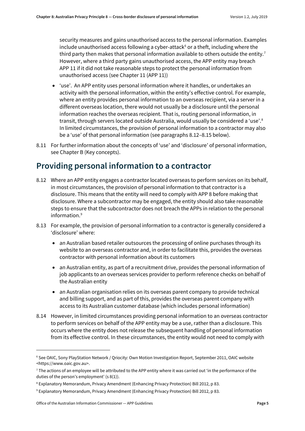security measures and gains unauthorised access to the personal information. Examples include unauthorised access following a cyber-attack $6$  or a theft, including where the third party then makes that personal information available to others outside the entity.<sup>7</sup> However, where a third party gains unauthorised access, the APP entity may breach APP 11 if it did not take reasonable steps to protect the personal information from unauthorised access (see Chapter 11 (APP 11))

- 'use'. An APP entity uses personal information where it handles, or undertakes an activity with the personal information, within the entity's effective control. For example, where an entity provides personal information to an overseas recipient, via a server in a different overseas location, there would not usually be a disclosure until the personal information reaches the overseas recipient. That is, routing personal information, in transit, through servers located outside Australia, would usually be considered a 'use'.<sup>8</sup> In limited circumstances, the provision of personal information to a contractor may also be a 'use' of that personal information (see paragraph[s 8.12–](#page-4-1)[8.15](#page-5-1) below).
- 8.11 For further information about the concepts of 'use' and 'disclosure' of personal information, see Chapter B (Key concepts).

### <span id="page-4-0"></span>**Providing personal information to a contractor**

- <span id="page-4-1"></span>8.12 Where an APP entity engages a contractor located overseas to perform services on its behalf, in most circumstances, the provision of personal information to that contractor is a disclosure. This means that the entity will need to comply with APP 8 before making that disclosure. Where a subcontractor may be engaged, the entity should also take reasonable steps to ensure that the subcontractor does not breach the APPs in relation to the personal information.[9](#page-4-5)
- 8.13 For example, the provision of personal information to a contractor is generally considered a 'disclosure' where:
	- an Australian based retailer outsources the processing of online purchases through its website to an overseas contractor and, in order to facilitate this, provides the overseas contractor with personal information about its customers
	- an Australian entity, as part of a recruitment drive, provides the personal information of job applicants to an overseas services provider to perform reference checks on behalf of the Australian entity
	- an Australian organisation relies on its overseas parent company to provide technical and billing support, and as part of this, provides the overseas parent company with access to its Australian customer database (which includes personal information)
- 8.14 However, in limited circumstances providing personal information to an overseas contractor to perform services on behalf of the APP entity may be a use, rather than a disclosure. This occurs where the entity does not release the subsequent handling of personal information from its effective control. In these circumstances, the entity would not need to comply with

 $\overline{a}$ 

<span id="page-4-2"></span><sup>6</sup> See OAIC, Sony PlayStation Network / Qriocity: Own Motion Investigation Report, September 2011, OAIC website <https://www.oaic.gov.au>.

<span id="page-4-3"></span><sup>&</sup>lt;sup>7</sup> The actions of an employee will be attributed to the APP entity where it was carried out 'in the performance of the duties of the person's employment' (s 8(1)).

<span id="page-4-4"></span><sup>8</sup> Explanatory Memorandum, Privacy Amendment (Enhancing Privacy Protection) Bill 2012, p 83.

<span id="page-4-5"></span><sup>9</sup> Explanatory Memorandum, Privacy Amendment (Enhancing Privacy Protection) Bill 2012, p 83.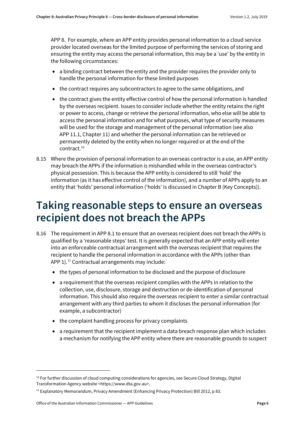APP 8. For example, where an APP entity provides personal information to a cloud service provider located overseas for the limited purpose of performing the services of storing and ensuring the entity may access the personal information, this may be a 'use' by the entity in the following circumstances:

- a binding contract between the entity and the provider requires the provider only to handle the personal information for these limited purposes
- the contract requires any subcontractors to agree to the same obligations, and
- the contract gives the entity effective control of how the personal information is handled by the overseas recipient. Issues to consider include whether the entity retains the right or power to access, change or retrieve the personal information, who else will be able to access the personal information and for what purposes, what type of security measures will be used for the storage and management of the personal information (see also APP 11.1, Chapter 11) and whether the personal information can be retrieved or permanently deleted by the entity when no longer required or at the end of the contract. [10](#page-5-2)
- <span id="page-5-1"></span>8.15 Where the provision of personal information to an overseas contractor is a use, an APP entity may breach the APPs if the information is mishandled while in the overseas contractor's physical possession. This is because the APP entity is considered to still 'hold' the information (as it has effective control of the information), and a number of APPs apply to an entity that 'holds' personal information ('holds' is discussed in Chapter B (Key Concepts)).

### <span id="page-5-0"></span>**Taking reasonable steps to ensure an overseas recipient does not breach the APPs**

- <span id="page-5-4"></span>8.16 The requirement in APP 8.1 to ensure that an overseas recipient does not breach the APPs is qualified by a 'reasonable steps' test. It is generally expected that an APP entity will enter into an enforceable contractual arrangement with the overseas recipient that requires the recipient to handle the personal information in accordance with the APPs (other than APP 1).<sup>[11](#page-5-3)</sup> Contractual arrangements may include:
	- the types of personal information to be disclosed and the purpose of disclosure
	- a requirement that the overseas recipient complies with the APPs in relation to the collection, use, disclosure, storage and destruction or de-identification of personal information. This should also require the overseas recipient to enter a similar contractual arrangement with any third parties to whom it discloses the personal information (for example, a subcontractor)
	- the complaint handling process for privacy complaints
	- a requirement that the recipient implement a data breach response plan which includes a mechanism for notifying the APP entity where there are reasonable grounds to suspect

**.** 

<span id="page-5-2"></span><sup>&</sup>lt;sup>10</sup> For further discussion of cloud computing considerations for agencies, see Secure Cloud Strategy, Digital Transformation Agency website <https://www.dta.gov.au>.

<span id="page-5-3"></span><sup>11</sup> Explanatory Memorandum, Privacy Amendment (Enhancing Privacy Protection) Bill 2012, p 83.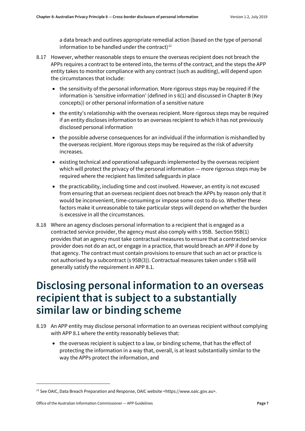a data breach and outlines appropriate remedial action (based on the type of personal information to be handled under the contract)<sup>[12](#page-6-2)</sup>

- 8.17 However, whether reasonable steps to ensure the overseas recipient does not breach the APPs requires a contract to be entered into, the terms of the contract, and the steps the APP entity takes to monitor compliance with any contract (such as auditing), will depend upon the circumstances that include:
	- the sensitivity of the personal information. More rigorous steps may be required if the information is 'sensitive information' (defined in s 6(1) and discussed in Chapter B (Key concepts)) or other personal information of a sensitive nature
	- the entity's relationship with the overseas recipient. More rigorous steps may be required if an entity discloses information to an overseas recipient to which it has not previously disclosed personal information
	- the possible adverse consequences for an individual if the information is mishandled by the overseas recipient. More rigorous steps may be required as the risk of adversity increases.
	- existing technical and operational safeguards implemented by the overseas recipient which will protect the privacy of the personal information — more rigorous steps may be required where the recipient has limited safeguards in place
	- the practicability, including time and cost involved. However, an entity is not excused from ensuring that an overseas recipient does not breach the APPs by reason only that it would be inconvenient, time-consuming or impose some cost to do so. Whether these factors make it unreasonable to take particular steps will depend on whether the burden is excessive in all the circumstances.
- <span id="page-6-3"></span>8.18 Where an agency discloses personal information to a recipient that is engaged as a contracted service provider, the agency must also comply with s 95B. Section 95B(1) provides that an agency must take contractual measures to ensure that a contracted service provider does not do an act, or engage in a practice, that would breach an APP if done by that agency. The contract must contain provisions to ensure that such an act or practice is not authorised by a subcontract (s 95B(3)). Contractual measures taken under s 95B will generally satisfy the requirement in APP 8.1.

# <span id="page-6-0"></span>**Disclosing personal information to an overseas recipient that is subject to a substantially similar law or binding scheme**

- <span id="page-6-1"></span>8.19 An APP entity may disclose personal information to an overseas recipient without complying with APP 8.1 where the entity reasonably believes that:
	- the overseas recipient is subject to a law, or binding scheme, that has the effect of protecting the information in a way that, overall, is at least substantially similar to the way the APPs protect the information, and

<span id="page-6-2"></span><sup>12</sup> See OAIC, Data Breach Preparation and Response, OAIC website <https://www.oaic.gov.au>.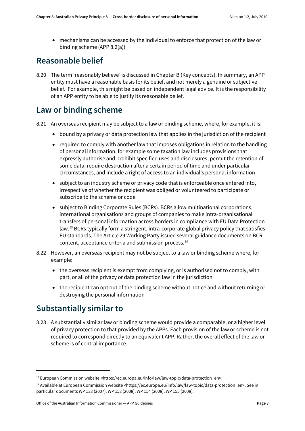• mechanisms can be accessed by the individual to enforce that protection of the law or binding scheme (APP 8.2(a))

#### <span id="page-7-0"></span>**Reasonable belief**

8.20 The term 'reasonably believe' is discussed in Chapter B (Key concepts). In summary, an APP entity must have a reasonable basis for its belief, and not merely a genuine or subjective belief. For example, this might be based on independent legal advice. It is the responsibility of an APP entity to be able to justify its reasonable belief.

#### <span id="page-7-1"></span>**Law or binding scheme**

- 8.21 An overseas recipient may be subject to a law or binding scheme, where, for example, it is:
	- bound by a privacy or data protection law that applies in the jurisdiction of the recipient
	- required to comply with another law that imposes obligations in relation to the handling of personal information, for example some taxation law includes provisions that expressly authorise and prohibit specified uses and disclosures, permit the retention of some data, require destruction after a certain period of time and under particular circumstances, and include a right of access to an individual's personal information
	- subject to an industry scheme or privacy code that is enforceable once entered into, irrespective of whether the recipient was obliged or volunteered to participate or subscribe to the scheme or code
	- subject to Binding Corporate Rules (BCRs). BCRs allow multinational corporations, international organisations and groups of companies to make intra-organisational transfers of personal information across borders in compliance with EU Data Protection law. [13](#page-7-3) BCRs typically form a stringent, intra-corporate global privacy policy that satisfies EU standards. The Article 29 Working Party issued several guidance documents on BCR content, acceptance criteria and submission process.[14](#page-7-4)
- 8.22 However, an overseas recipient may not be subject to a law or binding scheme where, for example:
	- the overseas recipient is exempt from complying, or is authorised not to comply, with part, or all of the privacy or data protection law in the jurisdiction
	- the recipient can opt out of the binding scheme without notice and without returning or destroying the personal information

### <span id="page-7-2"></span>**Substantially similar to**

**.** 

8.23 A substantially similar law or binding scheme would provide a comparable, or a higher level of privacy protection to that provided by the APPs. Each provision of the law or scheme is not required to correspond directly to an equivalent APP. Rather, the overall effect of the law or scheme is of central importance.

<span id="page-7-3"></span><sup>&</sup>lt;sup>13</sup> European Commission website <https://ec.europa.eu/info/law/law-topic/data-protection\_en>.

<span id="page-7-4"></span><sup>&</sup>lt;sup>14</sup> Available at European Commission website <https://ec.europa.eu/info/law/law-topic/data-protection\_en>. See in particular documents WP 133 (2007), WP 153 (2008), WP 154 (2008), WP 155 (2008).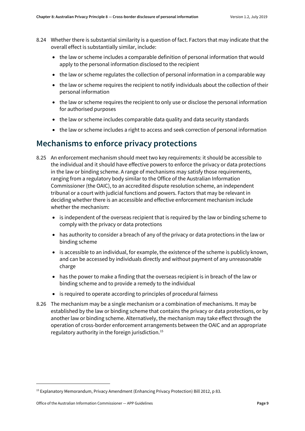- 8.24 Whether there is substantial similarity is a question of fact. Factors that may indicate that the overall effect is substantially similar, include:
	- the law or scheme includes a comparable definition of personal information that would apply to the personal information disclosed to the recipient
	- the law or scheme regulates the collection of personal information in a comparable way
	- the law or scheme requires the recipient to notify individuals about the collection of their personal information
	- the law or scheme requires the recipient to only use or disclose the personal information for authorised purposes
	- the law or scheme includes comparable data quality and data security standards
	- the law or scheme includes a right to access and seek correction of personal information

### <span id="page-8-0"></span>**Mechanisms to enforce privacy protections**

- 8.25 An enforcement mechanism should meet two key requirements: it should be accessible to the individual and it should have effective powers to enforce the privacy or data protections in the law or binding scheme. A range of mechanisms may satisfy those requirements, ranging from a regulatory body similar to the Office of the Australian Information Commissioner (the OAIC), to an accredited dispute resolution scheme, an independent tribunal or a court with judicial functions and powers. Factors that may be relevant in deciding whether there is an accessible and effective enforcement mechanism include whether the mechanism:
	- is independent of the overseas recipient that is required by the law or binding scheme to comply with the privacy or data protections
	- has authority to consider a breach of any of the privacy or data protections in the law or binding scheme
	- is accessible to an individual, for example, the existence of the scheme is publicly known, and can be accessed by individuals directly and without payment of any unreasonable charge
	- has the power to make a finding that the overseas recipient is in breach of the law or binding scheme and to provide a remedy to the individual
	- is required to operate according to principles of procedural fairness
- 8.26 The mechanism may be a single mechanism or a combination of mechanisms. It may be established by the law or binding scheme that contains the privacy or data protections, or by another law or binding scheme. Alternatively, the mechanism may take effect through the operation of cross-border enforcement arrangements between the OAIC and an appropriate regulatory authority in the foreign jurisdiction[.15](#page-8-1)

<span id="page-8-1"></span><sup>15</sup> Explanatory Memorandum, Privacy Amendment (Enhancing Privacy Protection) Bill 2012, p 83.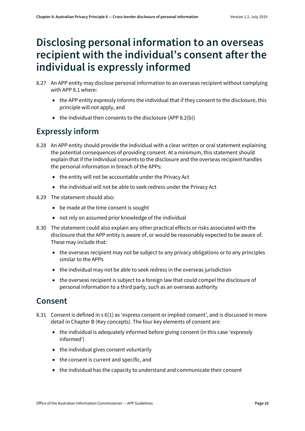# <span id="page-9-0"></span>**Disclosing personal information to an overseas recipient with the individual's consent after the individual is expressly informed**

- 8.27 An APP entity may disclose personal information to an overseas recipient without complying with APP 8.1 where:
	- the APP entity expressly informs the individual that if they consent to the disclosure, this principle will not apply, and
	- the individual then consents to the disclosure (APP 8.2(b))

### <span id="page-9-1"></span>**Expressly inform**

- 8.28 An APP entity should provide the individual with a clear written or oral statement explaining the potential consequences of providing consent. At a minimum, this statement should explain that if the individual consents to the disclosure and the overseas recipient handles the personal information in breach of the APPs:
	- the entity will not be accountable under the Privacy Act
	- the individual will not be able to seek redress under the Privacy Act
- 8.29 The statement should also:
	- be made at the time consent is sought
	- not rely on assumed prior knowledge of the individual
- 8.30 The statement could also explain any other practical effects or risks associated with the disclosure that the APP entity is aware of, or would be reasonably expected to be aware of. These may include that:
	- the overseas recipient may not be subject to any privacy obligations or to any principles similar to the APPs
	- the individual may not be able to seek redress in the overseas jurisdiction
	- the overseas recipient is subject to a foreign law that could compel the disclosure of personal information to a third party, such as an overseas authority

#### <span id="page-9-2"></span>**Consent**

- 8.31 Consent is defined in s 6(1) as 'express consent or implied consent', and is discussed in more detail in Chapter B (Key concepts). The four key elements of consent are:
	- the individual is adequately informed before giving consent (in this case 'expressly informed')
	- the individual gives consent voluntarily
	- the consent is current and specific, and
	- the individual has the capacity to understand and communicate their consent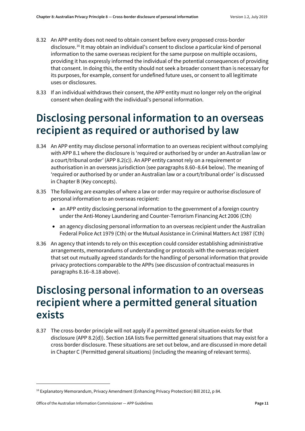- 8.32 An APP entity does not need to obtain consent before every proposed cross-border disclosure.<sup>[16](#page-10-2)</sup> It may obtain an individual's consent to disclose a particular kind of personal information to the same overseas recipient for the same purpose on multiple occasions, providing it has expressly informed the individual of the potential consequences of providing that consent. In doing this, the entity should not seek a broader consent than is necessary for its purposes, for example, consent for undefined future uses, or consent to all legitimate uses or disclosures.
- 8.33 If an individual withdraws their consent, the APP entity must no longer rely on the original consent when dealing with the individual's personal information.

# <span id="page-10-0"></span>**Disclosing personal information to an overseas recipient as required or authorised by law**

- 8.34 An APP entity may disclose personal information to an overseas recipient without complying with APP 8.1 where the disclosure is 'required or authorised by or under an Australian law or a court/tribunal order' (APP 8.2(c)). An APP entity cannot rely on a requirement or authorisation in an overseas jurisdiction (see paragraph[s 8.60](#page-14-2)[–8.64](#page-15-0) below). The meaning of 'required or authorised by or under an Australian law or a court/tribunal order' is discussed in Chapter B (Key concepts).
- 8.35 The following are examples of where a law or order may require or authorise disclosure of personal information to an overseas recipient:
	- an APP entity disclosing personal information to the government of a foreign country under the Anti-Money Laundering and Counter-Terrorism Financing Act 2006 (Cth)
	- an agency disclosing personal information to an overseas recipient under the Australian Federal Police Act 1979 (Cth) or the Mutual Assistance in Criminal Matters Act 1987 (Cth)
- 8.36 An agency that intends to rely on this exception could consider establishing administrative arrangements, memorandums of understanding or protocols with the overseas recipient that set out mutually agreed standards for the handling of personal information that provide privacy protections comparable to the APPs (see discussion of contractual measures in paragraphs [8.16](#page-5-4)[–8.18](#page-6-3) above).

### <span id="page-10-1"></span>**Disclosing personal information to an overseas recipient where a permitted general situation exists**

8.37 The cross-border principle will not apply if a permitted general situation exists for that disclosure (APP 8.2(d)). Section 16A lists five permitted general situations that may exist for a cross border disclosure. These situations are set out below, and are discussed in more detail in Chapter C (Permitted general situations) (including the meaning of relevant terms).

<span id="page-10-2"></span><sup>16</sup> Explanatory Memorandum, Privacy Amendment (Enhancing Privacy Protection) Bill 2012, p 84.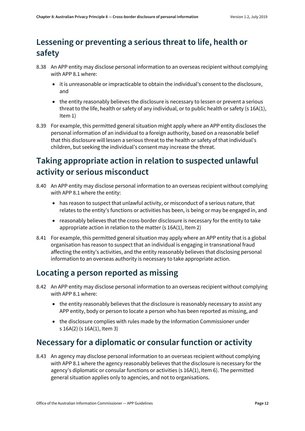### <span id="page-11-0"></span>**Lessening or preventing a serious threat to life, health or safety**

- 8.38 An APP entity may disclose personal information to an overseas recipient without complying with APP 8.1 where:
	- it is unreasonable or impracticable to obtain the individual's consent to the disclosure, and
	- the entity reasonably believes the disclosure is necessary to lessen or prevent a serious threat to the life, health or safety of any individual, or to public health or safety (s 16A(1), Item 1)
- 8.39 For example, this permitted general situation might apply where an APP entity discloses the personal information of an individual to a foreign authority, based on a reasonable belief that this disclosure will lessen a serious threat to the health or safety of that individual's children, but seeking the individual's consent may increase the threat.

### <span id="page-11-1"></span>**Taking appropriate action in relation to suspected unlawful activity or serious misconduct**

- 8.40 An APP entity may disclose personal information to an overseas recipient without complying with APP 8.1 where the entity:
	- has reason to suspect that unlawful activity, or misconduct of a serious nature, that relates to the entity's functions or activities has been, is being or may be engaged in, and
	- reasonably believes that the cross-border disclosure is necessary for the entity to take appropriate action in relation to the matter (s 16A(1), Item 2)
- 8.41 For example, this permitted general situation may apply where an APP entity that is a global organisation has reason to suspect that an individual is engaging in transnational fraud affecting the entity's activities, and the entity reasonably believes that disclosing personal information to an overseas authority is necessary to take appropriate action.

### <span id="page-11-2"></span>**Locating a person reported as missing**

- 8.42 An APP entity may disclose personal information to an overseas recipient without complying with APP 8.1 where:
	- the entity reasonably believes that the disclosure is reasonably necessary to assist any APP entity, body or person to locate a person who has been reported as missing, and
	- the disclosure complies with rules made by the Information Commissioner under s 16A(2) (s 16A(1), Item 3)

### <span id="page-11-3"></span>**Necessary for a diplomatic or consular function or activity**

8.43 An agency may disclose personal information to an overseas recipient without complying with APP 8.1 where the agency reasonably believes that the disclosure is necessary for the agency's diplomatic or consular functions or activities (s 16A(1), Item 6). The permitted general situation applies only to agencies, and not to organisations.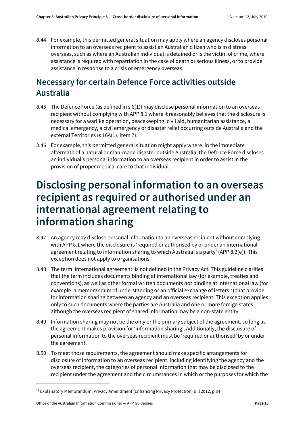8.44 For example, this permitted general situation may apply where an agency discloses personal information to an overseas recipient to assist an Australian citizen who is in distress overseas, such as where an Australian individual is detained or is the victim of crime, where assistance is required with repatriation in the case of death or serious illness, or to provide assistance in response to a crisis or emergency overseas.

### <span id="page-12-0"></span>**Necessary for certain Defence Force activities outside Australia**

- 8.45 The Defence Force (as defined in s 6(1)) may disclose personal information to an overseas recipient without complying with APP 8.1 where it reasonably believes that the disclosure is necessary for a warlike operation, peacekeeping, civil aid, humanitarian assistance, a medical emergency, a civil emergency or disaster relief occurring outside Australia and the external Territories (s 16A(1), Item 7).
- 8.46 For example, this permitted general situation might apply where, in the immediate aftermath of a natural or man-made disaster outside Australia, the Defence Force discloses an individual's personal information to an overseas recipient in order to assist in the provision of proper medical care to that individual.

# <span id="page-12-1"></span>**Disclosing personal information to an overseas recipient as required or authorised under an international agreement relating to information sharing**

- 8.47 An agency may disclose personal information to an overseas recipient without complying with APP 8.1 where the disclosure is 'required or authorised by or under an international agreement relating to information sharing to which Australia is a party' (APP 8.2(e)). This exception does not apply to organisations.
- 8.48 The term 'international agreement' is not defined in the Privacy Act. This guideline clarifies that the term includes documents binding at international law (for example, treaties and conventions), as well as other formal written documents not binding at international law (for example, a memorandum of understanding or an official exchange of letters<sup>[17](#page-12-2)</sup>) that provide for information sharing between an agency and an overseas recipient. This exception applies only to such documents where the parties are Australia and one or more foreign states, although the overseas recipient of shared information may be a non-state entity.
- 8.49 Information sharing may not be the only or the primary subject of the agreement, so long as the agreement makes provision for 'information sharing'. Additionally, the disclosure of personal information to the overseas recipient must be 'required or authorised' by or under the agreement.
- 8.50 To meet those requirements, the agreement should make specific arrangements for disclosure of information to an overseas recipient, including identifying the agency and the overseas recipient, the categories of personal information that may be disclosed to the recipient under the agreement and the circumstances in which or the purposes for which the

<span id="page-12-2"></span><sup>&</sup>lt;sup>17</sup> Explanatory Memorandum, Privacy Amendment (Enhancing Privacy Protection) Bill 2012, p 84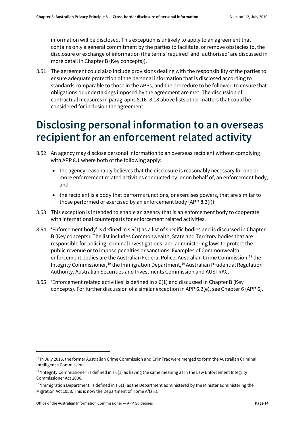information will be disclosed. This exception is unlikely to apply to an agreement that contains only a general commitment by the parties to facilitate, or remove obstacles to, the disclosure or exchange of information (the terms 'required' and 'authorised' are discussed in more detail in Chapter B (Key concepts)).

8.51 The agreement could also include provisions dealing with the responsibility of the parties to ensure adequate protection of the personal information that is disclosed according to standards comparable to those in the APPs, and the procedure to be followed to ensure that obligations or undertakings imposed by the agreement are met. The discussion of contractual measures in paragraphs 8.16–8.18 above lists other matters that could be considered for inclusion the agreement.

### <span id="page-13-0"></span>**Disclosing personal information to an overseas recipient for an enforcement related activity**

- 8.52 An agency may disclose personal information to an overseas recipient without complying with APP 8.1 where both of the following apply:
	- the agency reasonably believes that the disclosure is reasonably necessary for one or more enforcement related activities conducted by, or on behalf of, an enforcement body, and
	- the recipient is a body that performs functions, or exercises powers, that are similar to those performed or exercised by an enforcement body (APP 8.2(f))
- 8.53 This exception is intended to enable an agency that is an enforcement body to cooperate with international counterparts for enforcement related activities.
- 8.54 'Enforcement body' is defined in s 6(1) as a list of specific bodies and is discussed in Chapter B (Key concepts). The list includes Commonwealth, State and Territory bodies that are responsible for policing, criminal investigations, and administering laws to protect the public revenue or to impose penalties or sanctions. Examples of Commonwealth enforcement bodies are the Australian Federal Police, Australian Crime Commission,<sup>[18](#page-13-2)</sup> the Integrity Commissioner,<sup>[19](#page-13-3)</sup> the Immigration Department,<sup>20</sup> Australian Prudential Regulation Authority, Australian Securities and Investments Commission and AUSTRAC.
- <span id="page-13-1"></span>8.55 'Enforcement related activities' is defined in s 6(1) and discussed in Chapter B (Key concepts). For further discussion of a similar exception in APP 6.2(e), see Chapter 6 (APP 6).

 $\overline{a}$ 

<span id="page-13-2"></span><sup>&</sup>lt;sup>18</sup> In July 2016, the former Australian Crime Commission and CrimTrac were merged to form the Australian Criminal Intelligence Commission.

<span id="page-13-3"></span><sup>&</sup>lt;sup>19</sup> 'Integrity Commissioner' is defined in s  $6(1)$  as having the same meaning as in the Law Enforcement Integrity Commissioner Act 2006.

<span id="page-13-4"></span> $20$  'Immigration Department' is defined in s 6(1) as the Department administered by the Minister administering the Migration Act 1958. This is now the Department of Home Affairs.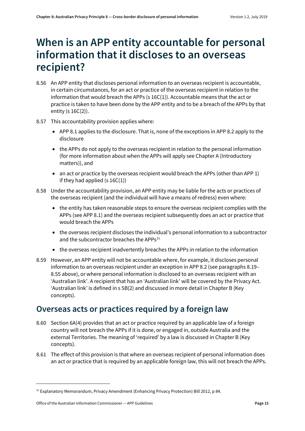### <span id="page-14-0"></span>**When is an APP entity accountable for personal information that it discloses to an overseas recipient?**

- 8.56 An APP entity that discloses personal information to an overseas recipient is accountable, in certain circumstances, for an act or practice of the overseas recipient in relation to the information that would breach the APPs (s 16C(1)). Accountable means that the act or practice is taken to have been done by the APP entity and to be a breach of the APPs by that entity (s 16C(2)).
- 8.57 This accountability provision applies where:
	- APP 8.1 applies to the disclosure. That is, none of the exceptions in APP 8.2 apply to the disclosure
	- the APPs do not apply to the overseas recipient in relation to the personal information (for more information about when the APPs will apply see Chapter A (Introductory matters)), and
	- an act or practice by the overseas recipient would breach the APPs (other than APP 1) if they had applied  $(s 16C(1))$
- 8.58 Under the accountability provision, an APP entity may be liable for the acts or practices of the overseas recipient (and the individual will have a means of redress) even where:
	- the entity has taken reasonable steps to ensure the overseas recipient complies with the APPs (see APP 8.1) and the overseas recipient subsequently does an act or practice that would breach the APPs
	- the overseas recipient discloses the individual's personal information to a subcontractor and the subcontractor breaches the  $APPs<sup>21</sup>$  $APPs<sup>21</sup>$  $APPs<sup>21</sup>$
	- the overseas recipient inadvertently breaches the APPs in relation to the information
- 8.59 However, an APP entity will not be accountable where, for example, it discloses personal information to an overseas recipient under an exception in APP 8.2 (see paragraphs [8.19–](#page-6-1) [8.55](#page-13-1) above), or where personal information is disclosed to an overseas recipient with an 'Australian link'. A recipient that has an 'Australian link' will be covered by the Privacy Act. 'Australian link' is defined in s 5B(2) and discussed in more detail in Chapter B (Key concepts).

#### <span id="page-14-1"></span>**Overseas acts or practices required by a foreign law**

- <span id="page-14-2"></span>8.60 Section 6A(4) provides that an act or practice required by an applicable law of a foreign country will not breach the APPs if it is done, or engaged in, outside Australia and the external Territories. The meaning of 'required' by a law is discussed in Chapter B (Key concepts).
- 8.61 The effect of this provision is that where an overseas recipient of personal information does an act or practice that is required by an applicable foreign law, this will not breach the APPs.

<span id="page-14-3"></span><sup>&</sup>lt;sup>21</sup> Explanatory Memorandum, Privacy Amendment (Enhancing Privacy Protection) Bill 2012, p 84.